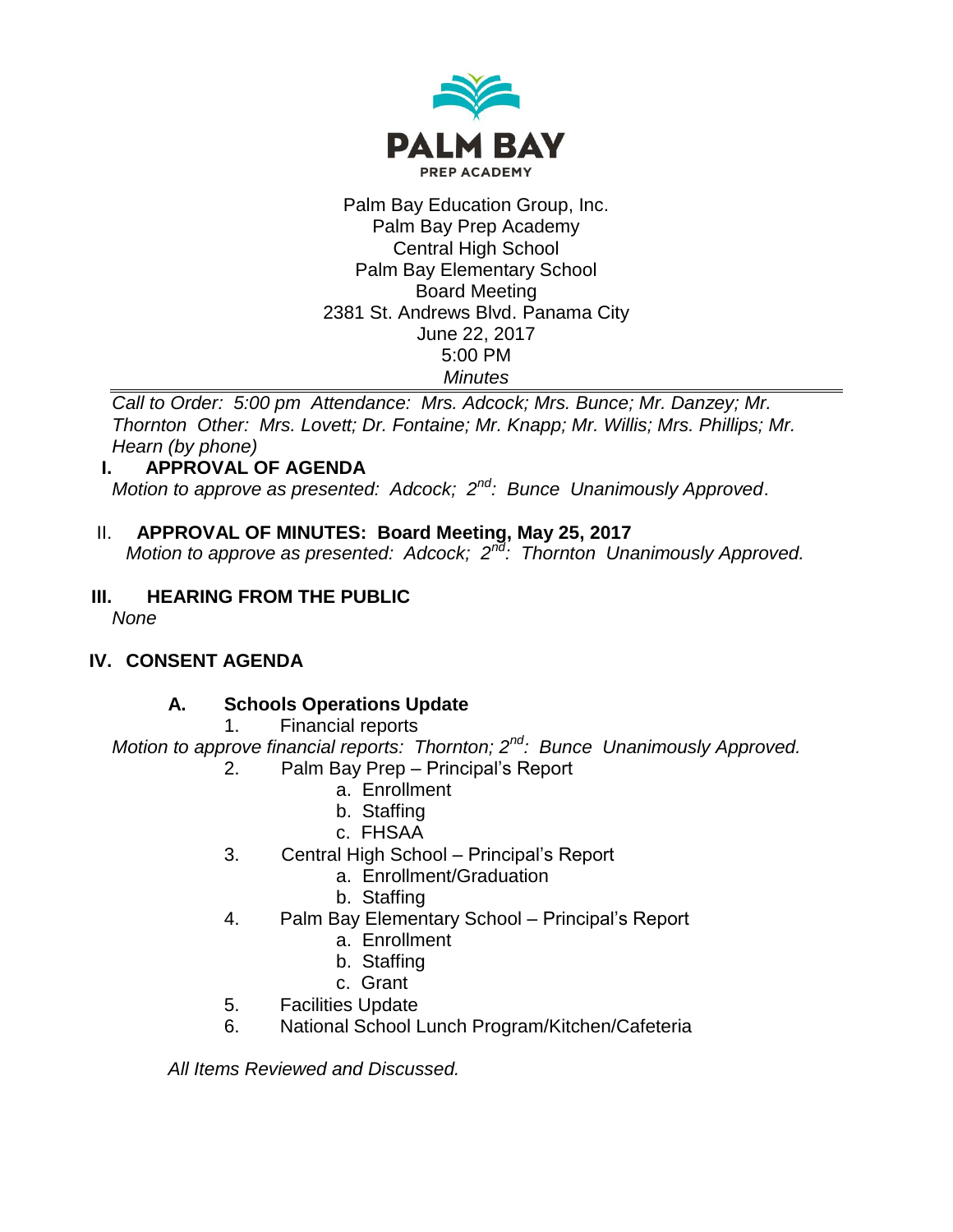

#### Palm Bay Education Group, Inc. Palm Bay Prep Academy Central High School Palm Bay Elementary School Board Meeting 2381 St. Andrews Blvd. Panama City June 22, 2017 5:00 PM *Minutes*

*Call to Order: 5:00 pm Attendance: Mrs. Adcock; Mrs. Bunce; Mr. Danzey; Mr. Thornton Other: Mrs. Lovett; Dr. Fontaine; Mr. Knapp; Mr. Willis; Mrs. Phillips; Mr. Hearn (by phone)*

# **I. APPROVAL OF AGENDA**

*Motion to approve as presented: Adcock; 2nd: Bunce Unanimously Approved*.

# II. **APPROVAL OF MINUTES: Board Meeting, May 25, 2017**

*Motion to approve as presented: Adcock; 2<sup>nd</sup>: Thornton Unanimously Approved.* 

# **III. HEARING FROM THE PUBLIC**

*None*

# **IV. CONSENT AGENDA**

# **A. Schools Operations Update**

1. Financial reports

*Motion to approve financial reports: Thornton; 2nd: Bunce Unanimously Approved.* 2. Palm Bay Prep – Principal's Report

- a. Enrollment
- b. Staffing
- c. FHSAA
- 3. Central High School Principal's Report
	- a. Enrollment/Graduation
	- b. Staffing
- 4. Palm Bay Elementary School Principal's Report
	- a. Enrollment
	- b. Staffing
	- c. Grant
- 5. Facilities Update
- 6. National School Lunch Program/Kitchen/Cafeteria

*All Items Reviewed and Discussed.*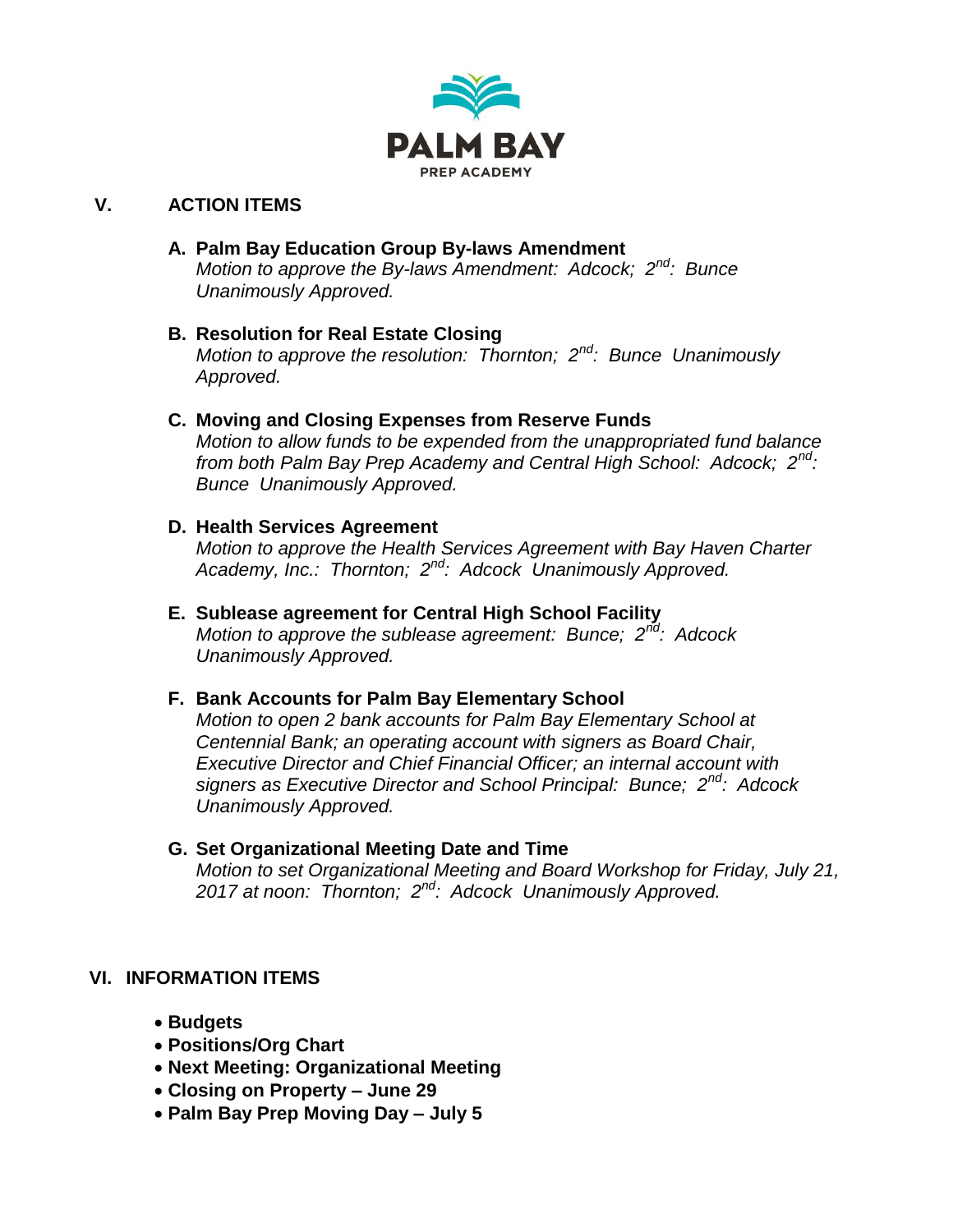

# **V. ACTION ITEMS**

#### **A. Palm Bay Education Group By-laws Amendment**

*Motion to approve the By-laws Amendment: Adcock; 2nd: Bunce Unanimously Approved.*

# **B. Resolution for Real Estate Closing**

*Motion to approve the resolution: Thornton; 2nd: Bunce Unanimously Approved.*

#### **C. Moving and Closing Expenses from Reserve Funds**

*Motion to allow funds to be expended from the unappropriated fund balance from both Palm Bay Prep Academy and Central High School: Adcock; 2nd: Bunce Unanimously Approved.*

#### **D. Health Services Agreement**

*Motion to approve the Health Services Agreement with Bay Haven Charter Academy, Inc.: Thornton; 2nd: Adcock Unanimously Approved.*

#### **E. Sublease agreement for Central High School Facility** *Motion to approve the sublease agreement: Bunce; 2nd: Adcock*

*Unanimously Approved.*

# **F. Bank Accounts for Palm Bay Elementary School**

*Motion to open 2 bank accounts for Palm Bay Elementary School at Centennial Bank; an operating account with signers as Board Chair, Executive Director and Chief Financial Officer; an internal account with signers as Executive Director and School Principal: Bunce; 2nd: Adcock Unanimously Approved.*

#### **G. Set Organizational Meeting Date and Time**

*Motion to set Organizational Meeting and Board Workshop for Friday, July 21, 2017 at noon: Thornton; 2nd: Adcock Unanimously Approved.*

# **VI. INFORMATION ITEMS**

- **Budgets**
- **Positions/Org Chart**
- **Next Meeting: Organizational Meeting**
- **Closing on Property – June 29**
- **Palm Bay Prep Moving Day – July 5**